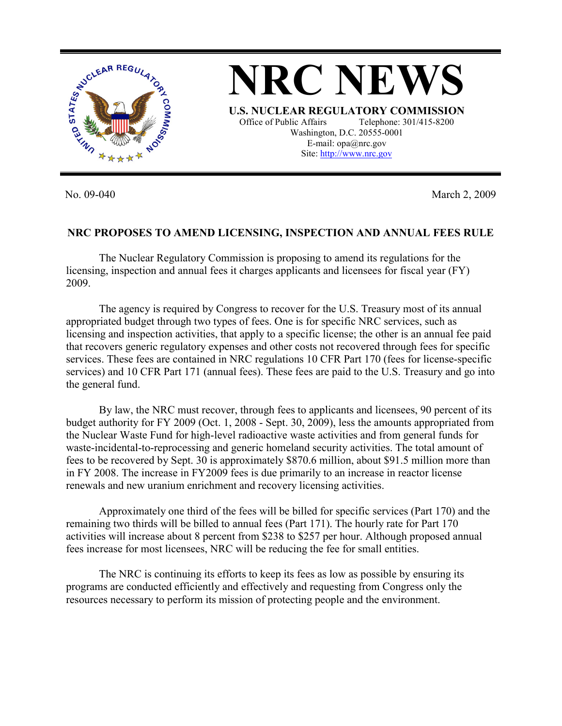

No. 09-040 March 2, 2009

## **NRC PROPOSES TO AMEND LICENSING, INSPECTION AND ANNUAL FEES RULE**

 The Nuclear Regulatory Commission is proposing to amend its regulations for the licensing, inspection and annual fees it charges applicants and licensees for fiscal year (FY) 2009.

 The agency is required by Congress to recover for the U.S. Treasury most of its annual appropriated budget through two types of fees. One is for specific NRC services, such as licensing and inspection activities, that apply to a specific license; the other is an annual fee paid that recovers generic regulatory expenses and other costs not recovered through fees for specific services. These fees are contained in NRC regulations 10 CFR Part 170 (fees for license-specific services) and 10 CFR Part 171 (annual fees). These fees are paid to the U.S. Treasury and go into the general fund.

 By law, the NRC must recover, through fees to applicants and licensees, 90 percent of its budget authority for FY 2009 (Oct. 1, 2008 - Sept. 30, 2009), less the amounts appropriated from the Nuclear Waste Fund for high-level radioactive waste activities and from general funds for waste-incidental-to-reprocessing and generic homeland security activities. The total amount of fees to be recovered by Sept. 30 is approximately \$870.6 million, about \$91.5 million more than in FY 2008. The increase in FY2009 fees is due primarily to an increase in reactor license renewals and new uranium enrichment and recovery licensing activities.

 Approximately one third of the fees will be billed for specific services (Part 170) and the remaining two thirds will be billed to annual fees (Part 171). The hourly rate for Part 170 activities will increase about 8 percent from \$238 to \$257 per hour. Although proposed annual fees increase for most licensees, NRC will be reducing the fee for small entities.

 The NRC is continuing its efforts to keep its fees as low as possible by ensuring its programs are conducted efficiently and effectively and requesting from Congress only the resources necessary to perform its mission of protecting people and the environment.